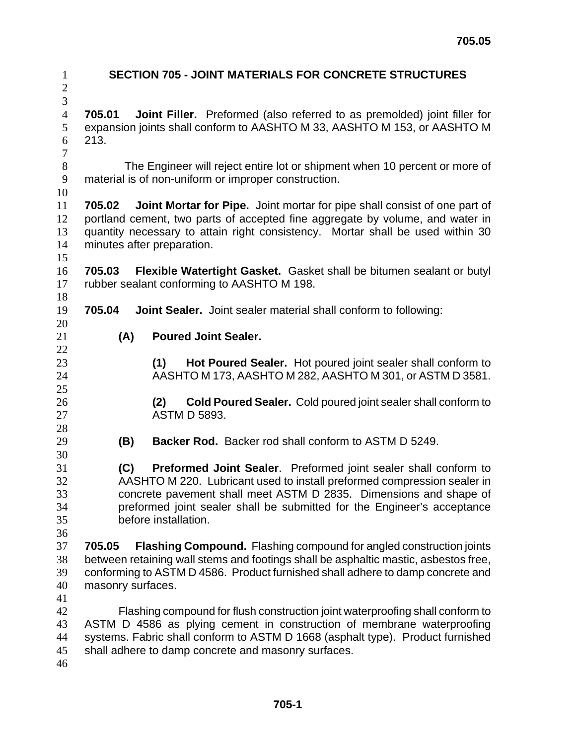| $\mathbf{1}$<br>$\sqrt{2}$ | <b>SECTION 705 - JOINT MATERIALS FOR CONCRETE STRUCTURES</b>                                                                                 |                                                                                  |  |  |  |
|----------------------------|----------------------------------------------------------------------------------------------------------------------------------------------|----------------------------------------------------------------------------------|--|--|--|
| $\overline{3}$             |                                                                                                                                              |                                                                                  |  |  |  |
| $\overline{4}$             | 705.01                                                                                                                                       | Joint Filler. Preformed (also referred to as premolded) joint filler for         |  |  |  |
| 5                          | expansion joints shall conform to AASHTO M 33, AASHTO M 153, or AASHTO M                                                                     |                                                                                  |  |  |  |
| 6                          | 213.                                                                                                                                         |                                                                                  |  |  |  |
| $\boldsymbol{7}$           |                                                                                                                                              |                                                                                  |  |  |  |
| $8\,$                      | The Engineer will reject entire lot or shipment when 10 percent or more of                                                                   |                                                                                  |  |  |  |
| 9                          |                                                                                                                                              | material is of non-uniform or improper construction.                             |  |  |  |
| 10                         |                                                                                                                                              |                                                                                  |  |  |  |
| 11                         | 705.02                                                                                                                                       | <b>Joint Mortar for Pipe.</b> Joint mortar for pipe shall consist of one part of |  |  |  |
| 12                         | portland cement, two parts of accepted fine aggregate by volume, and water in                                                                |                                                                                  |  |  |  |
| 13                         | quantity necessary to attain right consistency. Mortar shall be used within 30                                                               |                                                                                  |  |  |  |
| 14<br>15                   |                                                                                                                                              | minutes after preparation.                                                       |  |  |  |
| 16                         | 705.03                                                                                                                                       | Flexible Watertight Gasket. Gasket shall be bitumen sealant or butyl             |  |  |  |
| 17                         |                                                                                                                                              | rubber sealant conforming to AASHTO M 198.                                       |  |  |  |
| 18                         |                                                                                                                                              |                                                                                  |  |  |  |
| 19                         | 705.04                                                                                                                                       | <b>Joint Sealer.</b> Joint sealer material shall conform to following:           |  |  |  |
| 20                         |                                                                                                                                              |                                                                                  |  |  |  |
| 21                         | (A)                                                                                                                                          | <b>Poured Joint Sealer.</b>                                                      |  |  |  |
| 22                         |                                                                                                                                              |                                                                                  |  |  |  |
| 23                         |                                                                                                                                              | Hot Poured Sealer. Hot poured joint sealer shall conform to<br>(1)               |  |  |  |
| 24                         |                                                                                                                                              | AASHTO M 173, AASHTO M 282, AASHTO M 301, or ASTM D 3581.                        |  |  |  |
| 25                         |                                                                                                                                              |                                                                                  |  |  |  |
| 26                         |                                                                                                                                              | Cold Poured Sealer. Cold poured joint sealer shall conform to<br>(2)             |  |  |  |
| 27                         |                                                                                                                                              | <b>ASTM D 5893.</b>                                                              |  |  |  |
| 28                         |                                                                                                                                              |                                                                                  |  |  |  |
| 29                         | (B)                                                                                                                                          | <b>Backer Rod.</b> Backer rod shall conform to ASTM D 5249.                      |  |  |  |
| 30                         |                                                                                                                                              |                                                                                  |  |  |  |
| 31<br>32                   | (C)                                                                                                                                          | Preformed Joint Sealer. Preformed joint sealer shall conform to                  |  |  |  |
| 33                         | AASHTO M 220. Lubricant used to install preformed compression sealer in<br>concrete pavement shall meet ASTM D 2835. Dimensions and shape of |                                                                                  |  |  |  |
| 34                         |                                                                                                                                              | preformed joint sealer shall be submitted for the Engineer's acceptance          |  |  |  |
| 35                         |                                                                                                                                              | before installation.                                                             |  |  |  |
| 36                         |                                                                                                                                              |                                                                                  |  |  |  |
| 37                         | 705.05                                                                                                                                       | <b>Flashing Compound.</b> Flashing compound for angled construction joints       |  |  |  |
| 38                         | between retaining wall stems and footings shall be asphaltic mastic, asbestos free,                                                          |                                                                                  |  |  |  |
| 39                         | conforming to ASTM D 4586. Product furnished shall adhere to damp concrete and                                                               |                                                                                  |  |  |  |
| 40                         | masonry surfaces.                                                                                                                            |                                                                                  |  |  |  |
| 41                         |                                                                                                                                              |                                                                                  |  |  |  |
| 42                         |                                                                                                                                              | Flashing compound for flush construction joint waterproofing shall conform to    |  |  |  |
| 43                         | ASTM D 4586 as plying cement in construction of membrane waterproofing                                                                       |                                                                                  |  |  |  |
| 44                         | systems. Fabric shall conform to ASTM D 1668 (asphalt type). Product furnished                                                               |                                                                                  |  |  |  |
| 45                         | shall adhere to damp concrete and masonry surfaces.                                                                                          |                                                                                  |  |  |  |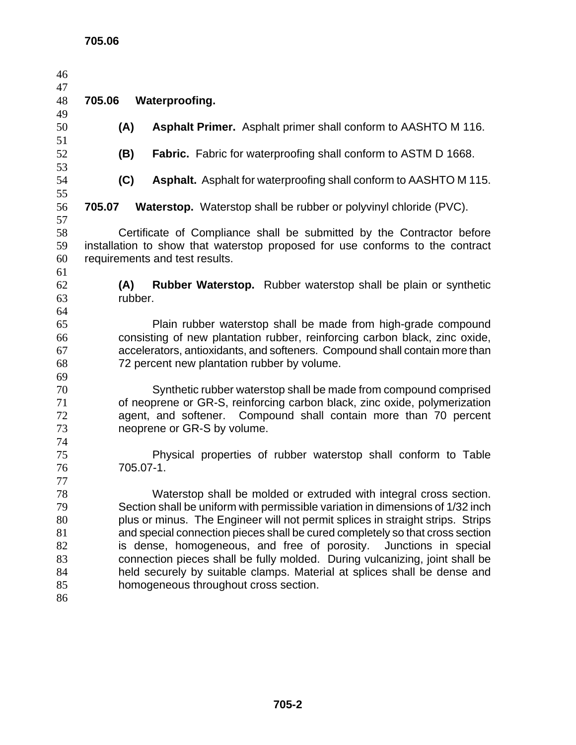| 46       |                                                                                                                                                                 |  |  |  |  |
|----------|-----------------------------------------------------------------------------------------------------------------------------------------------------------------|--|--|--|--|
| 47       |                                                                                                                                                                 |  |  |  |  |
| 48       | 705.06<br>Waterproofing.                                                                                                                                        |  |  |  |  |
| 49       |                                                                                                                                                                 |  |  |  |  |
| 50<br>51 | (A)<br><b>Asphalt Primer.</b> Asphalt primer shall conform to AASHTO M 116.                                                                                     |  |  |  |  |
| 52       | (B)<br><b>Fabric.</b> Fabric for waterproofing shall conform to ASTM D 1668.                                                                                    |  |  |  |  |
| 53       |                                                                                                                                                                 |  |  |  |  |
| 54       | (C)<br><b>Asphalt.</b> Asphalt for waterproofing shall conform to AASHTO M 115.                                                                                 |  |  |  |  |
| 55<br>56 | 705.07<br><b>Waterstop.</b> Waterstop shall be rubber or polyvinyl chloride (PVC).                                                                              |  |  |  |  |
| 57       |                                                                                                                                                                 |  |  |  |  |
| 58<br>59 | Certificate of Compliance shall be submitted by the Contractor before<br>installation to show that waterstop proposed for use conforms to the contract          |  |  |  |  |
| 60       | requirements and test results.                                                                                                                                  |  |  |  |  |
| 61       |                                                                                                                                                                 |  |  |  |  |
| 62       | <b>Rubber Waterstop.</b> Rubber waterstop shall be plain or synthetic<br>(A)                                                                                    |  |  |  |  |
| 63       | rubber.                                                                                                                                                         |  |  |  |  |
| 64       |                                                                                                                                                                 |  |  |  |  |
| 65<br>66 | Plain rubber waterstop shall be made from high-grade compound                                                                                                   |  |  |  |  |
| 67       | consisting of new plantation rubber, reinforcing carbon black, zinc oxide,<br>accelerators, antioxidants, and softeners. Compound shall contain more than       |  |  |  |  |
| 68       | 72 percent new plantation rubber by volume.                                                                                                                     |  |  |  |  |
| 69       |                                                                                                                                                                 |  |  |  |  |
| 70       | Synthetic rubber waterstop shall be made from compound comprised                                                                                                |  |  |  |  |
| 71       | of neoprene or GR-S, reinforcing carbon black, zinc oxide, polymerization                                                                                       |  |  |  |  |
| 72       | agent, and softener. Compound shall contain more than 70 percent                                                                                                |  |  |  |  |
| 73       | neoprene or GR-S by volume.                                                                                                                                     |  |  |  |  |
| 74       |                                                                                                                                                                 |  |  |  |  |
| 75       | Physical properties of rubber waterstop shall conform to Table                                                                                                  |  |  |  |  |
| 76       | 705.07-1.                                                                                                                                                       |  |  |  |  |
| 77       |                                                                                                                                                                 |  |  |  |  |
| 78       | Waterstop shall be molded or extruded with integral cross section.                                                                                              |  |  |  |  |
| 79       | Section shall be uniform with permissible variation in dimensions of 1/32 inch                                                                                  |  |  |  |  |
| 80<br>81 | plus or minus. The Engineer will not permit splices in straight strips. Strips<br>and special connection pieces shall be cured completely so that cross section |  |  |  |  |
| 82       | is dense, homogeneous, and free of porosity.<br>Junctions in special                                                                                            |  |  |  |  |
| 83       | connection pieces shall be fully molded. During vulcanizing, joint shall be                                                                                     |  |  |  |  |
| 84       | held securely by suitable clamps. Material at splices shall be dense and                                                                                        |  |  |  |  |
| 85       | homogeneous throughout cross section.                                                                                                                           |  |  |  |  |
| 86       |                                                                                                                                                                 |  |  |  |  |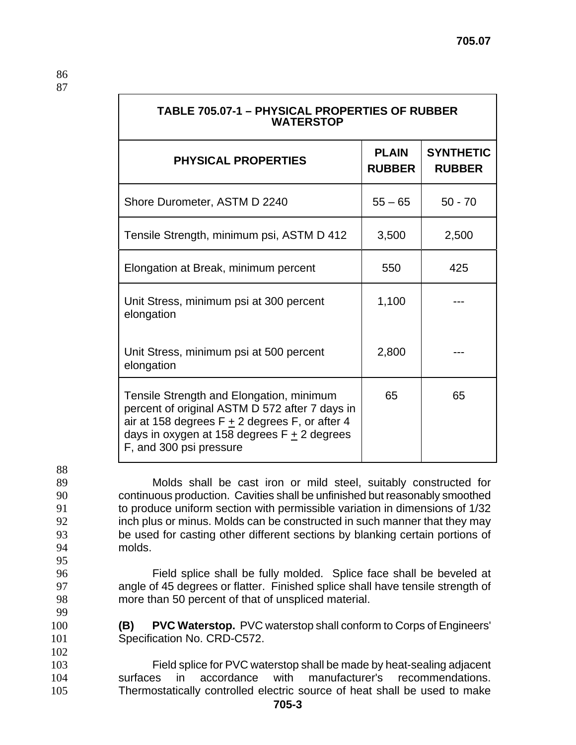| TABLE 705.07-1 - PHYSICAL PROPERTIES OF RUBBER<br><b>WATERSTOP</b>                                                                                                                                                         |                               |                                   |  |  |
|----------------------------------------------------------------------------------------------------------------------------------------------------------------------------------------------------------------------------|-------------------------------|-----------------------------------|--|--|
| <b>PHYSICAL PROPERTIES</b>                                                                                                                                                                                                 | <b>PLAIN</b><br><b>RUBBER</b> | <b>SYNTHETIC</b><br><b>RUBBER</b> |  |  |
| Shore Durometer, ASTM D 2240                                                                                                                                                                                               | $55 - 65$                     | $50 - 70$                         |  |  |
| Tensile Strength, minimum psi, ASTM D 412                                                                                                                                                                                  | 3,500                         | 2,500                             |  |  |
| Elongation at Break, minimum percent                                                                                                                                                                                       | 550                           | 425                               |  |  |
| Unit Stress, minimum psi at 300 percent<br>elongation                                                                                                                                                                      | 1,100                         |                                   |  |  |
| Unit Stress, minimum psi at 500 percent<br>elongation                                                                                                                                                                      | 2,800                         |                                   |  |  |
| Tensile Strength and Elongation, minimum<br>percent of original ASTM D 572 after 7 days in<br>air at 158 degrees $F + 2$ degrees F, or after 4<br>days in oxygen at 158 degrees $F + 2$ degrees<br>F, and 300 psi pressure | 65                            | 65                                |  |  |

88

99

102

Molds shall be cast iron or mild steel, suitably constructed for continuous production. Cavities shall be unfinished but reasonably smoothed to produce uniform section with permissible variation in dimensions of 1/32 inch plus or minus. Molds can be constructed in such manner that they may be used for casting other different sections by blanking certain portions of 94 molds. 95

- 96 Field splice shall be fully molded. Splice face shall be beveled at 97 angle of 45 degrees or flatter. Finished splice shall have tensile strength of 98 more than 50 percent of that of unspliced material.
- 100 **(B) PVC Waterstop.** PVC waterstop shall conform to Corps of Engineers' 101 Specification No. CRD-C572.
- 103 Field splice for PVC waterstop shall be made by heat-sealing adjacent 104 surfaces in accordance with manufacturer's recommendations. 105 Thermostatically controlled electric source of heat shall be used to make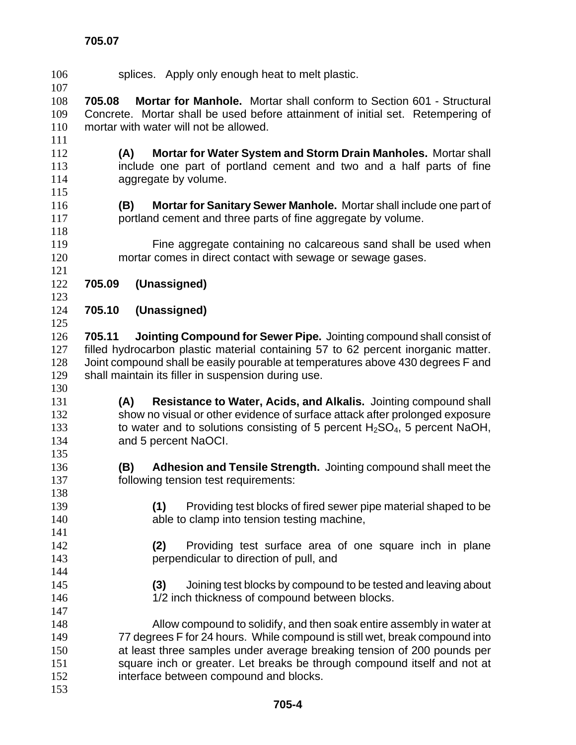splices. Apply only enough heat to melt plastic. **705.08 Mortar for Manhole.** Mortar shall conform to Section 601 - Structural Concrete. Mortar shall be used before attainment of initial set. Retempering of mortar with water will not be allowed. **(A) Mortar for Water System and Storm Drain Manholes.** Mortar shall include one part of portland cement and two and a half parts of fine 114 aggregate by volume. **(B) Mortar for Sanitary Sewer Manhole.** Mortar shall include one part of portland cement and three parts of fine aggregate by volume. Fine aggregate containing no calcareous sand shall be used when mortar comes in direct contact with sewage or sewage gases. **705.09 (Unassigned) 705.10 (Unassigned) 705.11 Jointing Compound for Sewer Pipe.** Jointing compound shall consist of filled hydrocarbon plastic material containing 57 to 62 percent inorganic matter. Joint compound shall be easily pourable at temperatures above 430 degrees F and shall maintain its filler in suspension during use. **(A) Resistance to Water, Acids, and Alkalis.** Jointing compound shall show no visual or other evidence of surface attack after prolonged exposure 133 to water and to solutions consisting of 5 percent H<sub>2</sub>SO<sub>4</sub>, 5 percent NaOH, and 5 percent NaOCI. **(B) Adhesion and Tensile Strength.** Jointing compound shall meet the following tension test requirements: **(1)** Providing test blocks of fired sewer pipe material shaped to be **able to clamp into tension testing machine, (2)** Providing test surface area of one square inch in plane perpendicular to direction of pull, and **(3)** Joining test blocks by compound to be tested and leaving about 146 1/2 inch thickness of compound between blocks. Allow compound to solidify, and then soak entire assembly in water at 77 degrees F for 24 hours. While compound is still wet, break compound into at least three samples under average breaking tension of 200 pounds per 151 square inch or greater. Let breaks be through compound itself and not at interface between compound and blocks.